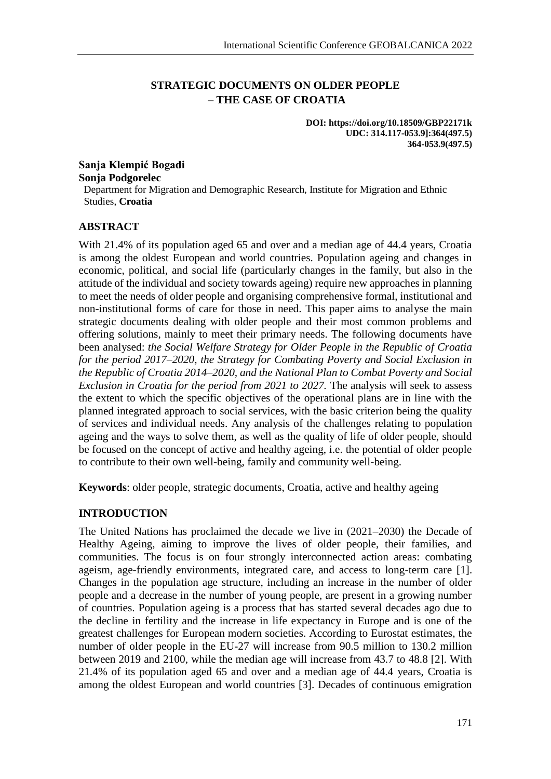# **STRATEGIC DOCUMENTS ON OLDER PEOPLE – THE CASE OF CROATIA**

**DOI: https://doi.org/10.18509/GBP22171k UDC: 314.117-053.9]:364(497.5) 364-053.9(497.5)**

**Sanja Klempić Bogadi Sonja Podgorelec** Department for Migration and Demographic Research, Institute for Migration and Ethnic Studies, **Croatia**

## **ABSTRACT**

With 21.4% of its population aged 65 and over and a median age of 44.4 years, Croatia is among the oldest European and world countries. Population ageing and changes in economic, political, and social life (particularly changes in the family, but also in the attitude of the individual and society towards ageing) require new approaches in planning to meet the needs of older people and organising comprehensive formal, institutional and non-institutional forms of care for those in need. This paper aims to analyse the main strategic documents dealing with older people and their most common problems and offering solutions, mainly to meet their primary needs. The following documents have been analysed: *the Social Welfare Strategy for Older People in the Republic of Croatia for the period 2017–2020, the Strategy for Combating Poverty and Social Exclusion in the Republic of Croatia 2014–2020, and the National Plan to Combat Poverty and Social Exclusion in Croatia for the period from 2021 to 2027.* The analysis will seek to assess the extent to which the specific objectives of the operational plans are in line with the planned integrated approach to social services, with the basic criterion being the quality of services and individual needs. Any analysis of the challenges relating to population ageing and the ways to solve them, as well as the quality of life of older people, should be focused on the concept of active and healthy ageing, i.e. the potential of older people to contribute to their own well-being, family and community well-being.

**Keywords**: older people, strategic documents, Croatia, active and healthy ageing

## **INTRODUCTION**

The United Nations has proclaimed the decade we live in (2021–2030) the Decade of Healthy Ageing, aiming to improve the lives of older people, their families, and communities. The focus is on four strongly interconnected action areas: combating ageism, age-friendly environments, integrated care, and access to long-term care [1]. Changes in the population age structure, including an increase in the number of older people and a decrease in the number of young people, are present in a growing number of countries. Population ageing is a process that has started several decades ago due to the decline in fertility and the increase in life expectancy in Europe and is one of the greatest challenges for European modern societies. According to Eurostat estimates, the number of older people in the EU-27 will increase from 90.5 million to 130.2 million between 2019 and 2100, while the median age will increase from 43.7 to 48.8 [2]. With 21.4% of its population aged 65 and over and a median age of 44.4 years, Croatia is among the oldest European and world countries [3]. Decades of continuous emigration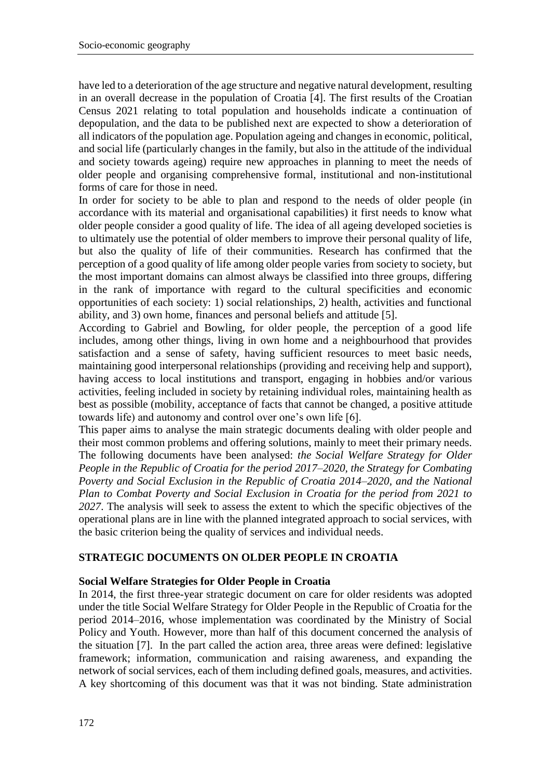have led to a deterioration of the age structure and negative natural development, resulting in an overall decrease in the population of Croatia [4]. The first results of the Croatian Census 2021 relating to total population and households indicate a continuation of depopulation, and the data to be published next are expected to show a deterioration of all indicators of the population age. Population ageing and changes in economic, political, and social life (particularly changes in the family, but also in the attitude of the individual and society towards ageing) require new approaches in planning to meet the needs of older people and organising comprehensive formal, institutional and non-institutional forms of care for those in need.

In order for society to be able to plan and respond to the needs of older people (in accordance with its material and organisational capabilities) it first needs to know what older people consider a good quality of life. The idea of all ageing developed societies is to ultimately use the potential of older members to improve their personal quality of life, but also the quality of life of their communities. Research has confirmed that the perception of a good quality of life among older people varies from society to society, but the most important domains can almost always be classified into three groups, differing in the rank of importance with regard to the cultural specificities and economic opportunities of each society: 1) social relationships, 2) health, activities and functional ability, and 3) own home, finances and personal beliefs and attitude [5].

According to Gabriel and Bowling, for older people, the perception of a good life includes, among other things, living in own home and a neighbourhood that provides satisfaction and a sense of safety, having sufficient resources to meet basic needs, maintaining good interpersonal relationships (providing and receiving help and support), having access to local institutions and transport, engaging in hobbies and/or various activities, feeling included in society by retaining individual roles, maintaining health as best as possible (mobility, acceptance of facts that cannot be changed, a positive attitude towards life) and autonomy and control over one's own life [6].

This paper aims to analyse the main strategic documents dealing with older people and their most common problems and offering solutions, mainly to meet their primary needs. The following documents have been analysed: *the Social Welfare Strategy for Older People in the Republic of Croatia for the period 2017–2020, the Strategy for Combating Poverty and Social Exclusion in the Republic of Croatia 2014–2020, and the National Plan to Combat Poverty and Social Exclusion in Croatia for the period from 2021 to 2027*. The analysis will seek to assess the extent to which the specific objectives of the operational plans are in line with the planned integrated approach to social services, with the basic criterion being the quality of services and individual needs.

#### **STRATEGIC DOCUMENTS ON OLDER PEOPLE IN CROATIA**

#### **Social Welfare Strategies for Older People in Croatia**

In 2014, the first three-year strategic document on care for older residents was adopted under the title Social Welfare Strategy for Older People in the Republic of Croatia for the period 2014–2016, whose implementation was coordinated by the Ministry of Social Policy and Youth. However, more than half of this document concerned the analysis of the situation [7]. In the part called the action area, three areas were defined: legislative framework; information, communication and raising awareness, and expanding the network of social services, each of them including defined goals, measures, and activities. A key shortcoming of this document was that it was not binding. State administration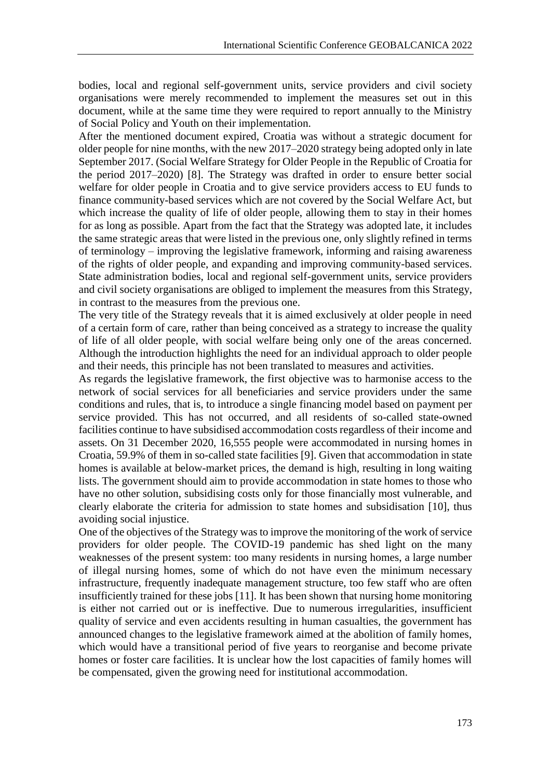bodies, local and regional self-government units, service providers and civil society organisations were merely recommended to implement the measures set out in this document, while at the same time they were required to report annually to the Ministry of Social Policy and Youth on their implementation.

After the mentioned document expired, Croatia was without a strategic document for older people for nine months, with the new 2017–2020 strategy being adopted only in late September 2017. (Social Welfare Strategy for Older People in the Republic of Croatia for the period 2017–2020) [8]. The Strategy was drafted in order to ensure better social welfare for older people in Croatia and to give service providers access to EU funds to finance community-based services which are not covered by the Social Welfare Act, but which increase the quality of life of older people, allowing them to stay in their homes for as long as possible. Apart from the fact that the Strategy was adopted late, it includes the same strategic areas that were listed in the previous one, only slightly refined in terms of terminology – improving the legislative framework, informing and raising awareness of the rights of older people, and expanding and improving community-based services. State administration bodies, local and regional self-government units, service providers and civil society organisations are obliged to implement the measures from this Strategy, in contrast to the measures from the previous one.

The very title of the Strategy reveals that it is aimed exclusively at older people in need of a certain form of care, rather than being conceived as a strategy to increase the quality of life of all older people, with social welfare being only one of the areas concerned. Although the introduction highlights the need for an individual approach to older people and their needs, this principle has not been translated to measures and activities.

As regards the legislative framework, the first objective was to harmonise access to the network of social services for all beneficiaries and service providers under the same conditions and rules, that is, to introduce a single financing model based on payment per service provided. This has not occurred, and all residents of so-called state-owned facilities continue to have subsidised accommodation costs regardless of their income and assets. On 31 December 2020, 16,555 people were accommodated in nursing homes in Croatia, 59.9% of them in so-called state facilities [9]. Given that accommodation in state homes is available at below-market prices, the demand is high, resulting in long waiting lists. The government should aim to provide accommodation in state homes to those who have no other solution, subsidising costs only for those financially most vulnerable, and clearly elaborate the criteria for admission to state homes and subsidisation [10], thus avoiding social injustice.

One of the objectives of the Strategy was to improve the monitoring of the work of service providers for older people. The COVID-19 pandemic has shed light on the many weaknesses of the present system: too many residents in nursing homes, a large number of illegal nursing homes, some of which do not have even the minimum necessary infrastructure, frequently inadequate management structure, too few staff who are often insufficiently trained for these jobs [11]. It has been shown that nursing home monitoring is either not carried out or is ineffective. Due to numerous irregularities, insufficient quality of service and even accidents resulting in human casualties, the government has announced changes to the legislative framework aimed at the abolition of family homes, which would have a transitional period of five years to reorganise and become private homes or foster care facilities. It is unclear how the lost capacities of family homes will be compensated, given the growing need for institutional accommodation.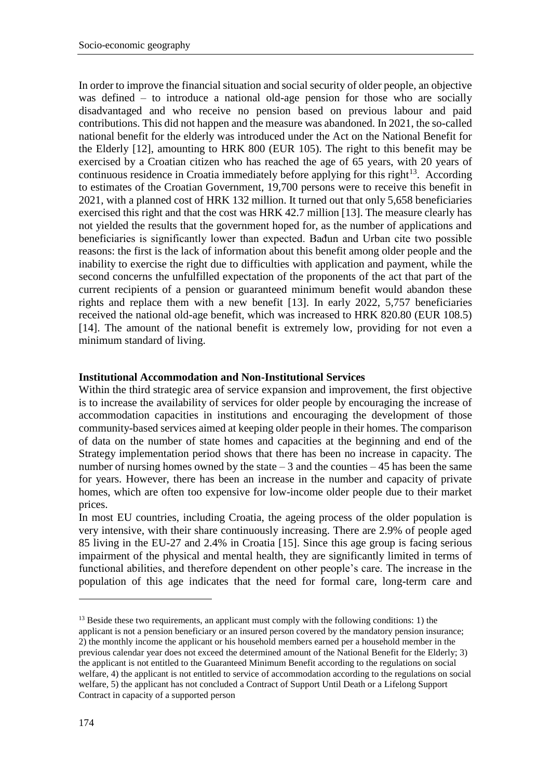In order to improve the financial situation and social security of older people, an objective was defined – to introduce a national old-age pension for those who are socially disadvantaged and who receive no pension based on previous labour and paid contributions. This did not happen and the measure was abandoned. In 2021, the so-called national benefit for the elderly was introduced under the Act on the National Benefit for the Elderly [12], amounting to HRK 800 (EUR 105). The right to this benefit may be exercised by a Croatian citizen who has reached the age of 65 years, with 20 years of continuous residence in Croatia immediately before applying for this right $13$ . According to estimates of the Croatian Government, 19,700 persons were to receive this benefit in 2021, with a planned cost of HRK 132 million. It turned out that only 5,658 beneficiaries exercised this right and that the cost was HRK 42.7 million [13]. The measure clearly has not yielded the results that the government hoped for, as the number of applications and beneficiaries is significantly lower than expected. Bađun and Urban cite two possible reasons: the first is the lack of information about this benefit among older people and the inability to exercise the right due to difficulties with application and payment, while the second concerns the unfulfilled expectation of the proponents of the act that part of the current recipients of a pension or guaranteed minimum benefit would abandon these rights and replace them with a new benefit [13]. In early 2022, 5,757 beneficiaries received the national old-age benefit, which was increased to HRK 820.80 (EUR 108.5) [14]. The amount of the national benefit is extremely low, providing for not even a minimum standard of living.

#### **Institutional Accommodation and Non-Institutional Services**

Within the third strategic area of service expansion and improvement, the first objective is to increase the availability of services for older people by encouraging the increase of accommodation capacities in institutions and encouraging the development of those community-based services aimed at keeping older people in their homes. The comparison of data on the number of state homes and capacities at the beginning and end of the Strategy implementation period shows that there has been no increase in capacity. The number of nursing homes owned by the state  $-3$  and the counties  $-45$  has been the same for years. However, there has been an increase in the number and capacity of private homes, which are often too expensive for low-income older people due to their market prices.

In most EU countries, including Croatia, the ageing process of the older population is very intensive, with their share continuously increasing. There are 2.9% of people aged 85 living in the EU-27 and 2.4% in Croatia [15]. Since this age group is facing serious impairment of the physical and mental health, they are significantly limited in terms of functional abilities, and therefore dependent on other people's care. The increase in the population of this age indicates that the need for formal care, long-term care and

-

 $<sup>13</sup>$  Beside these two requirements, an applicant must comply with the following conditions: 1) the</sup> applicant is not a pension beneficiary or an insured person covered by the mandatory pension insurance; 2) the monthly income the applicant or his household members earned per a household member in the previous calendar year does not exceed the determined amount of the National Benefit for the Elderly; 3) the applicant is not entitled to the Guaranteed Minimum Benefit according to the regulations on social welfare, 4) the applicant is not entitled to service of accommodation according to the regulations on social welfare, 5) the applicant has not concluded a Contract of Support Until Death or a Lifelong Support Contract in capacity of a supported person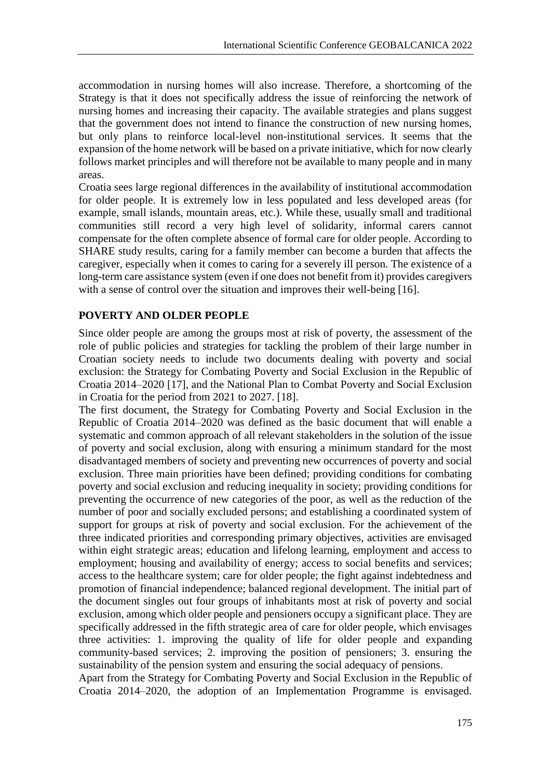accommodation in nursing homes will also increase. Therefore, a shortcoming of the Strategy is that it does not specifically address the issue of reinforcing the network of nursing homes and increasing their capacity. The available strategies and plans suggest that the government does not intend to finance the construction of new nursing homes, but only plans to reinforce local-level non-institutional services. It seems that the expansion of the home network will be based on a private initiative, which for now clearly follows market principles and will therefore not be available to many people and in many areas.

Croatia sees large regional differences in the availability of institutional accommodation for older people. It is extremely low in less populated and less developed areas (for example, small islands, mountain areas, etc.). While these, usually small and traditional communities still record a very high level of solidarity, informal carers cannot compensate for the often complete absence of formal care for older people. According to SHARE study results, caring for a family member can become a burden that affects the caregiver, especially when it comes to caring for a severely ill person. The existence of a long-term care assistance system (even if one does not benefit from it) provides caregivers with a sense of control over the situation and improves their well-being [16].

## **POVERTY AND OLDER PEOPLE**

Since older people are among the groups most at risk of poverty, the assessment of the role of public policies and strategies for tackling the problem of their large number in Croatian society needs to include two documents dealing with poverty and social exclusion: the Strategy for Combating Poverty and Social Exclusion in the Republic of Croatia 2014–2020 [17], and the National Plan to Combat Poverty and Social Exclusion in Croatia for the period from 2021 to 2027. [18].

The first document, the Strategy for Combating Poverty and Social Exclusion in the Republic of Croatia 2014–2020 was defined as the basic document that will enable a systematic and common approach of all relevant stakeholders in the solution of the issue of poverty and social exclusion, along with ensuring a minimum standard for the most disadvantaged members of society and preventing new occurrences of poverty and social exclusion. Three main priorities have been defined; providing conditions for combating poverty and social exclusion and reducing inequality in society; providing conditions for preventing the occurrence of new categories of the poor, as well as the reduction of the number of poor and socially excluded persons; and establishing a coordinated system of support for groups at risk of poverty and social exclusion. For the achievement of the three indicated priorities and corresponding primary objectives, activities are envisaged within eight strategic areas; education and lifelong learning, employment and access to employment; housing and availability of energy; access to social benefits and services; access to the healthcare system; care for older people; the fight against indebtedness and promotion of financial independence; balanced regional development. The initial part of the document singles out four groups of inhabitants most at risk of poverty and social exclusion, among which older people and pensioners occupy a significant place. They are specifically addressed in the fifth strategic area of care for older people, which envisages three activities: 1. improving the quality of life for older people and expanding community-based services; 2. improving the position of pensioners; 3. ensuring the sustainability of the pension system and ensuring the social adequacy of pensions.

Apart from the Strategy for Combating Poverty and Social Exclusion in the Republic of Croatia 2014–2020, the adoption of an Implementation Programme is envisaged.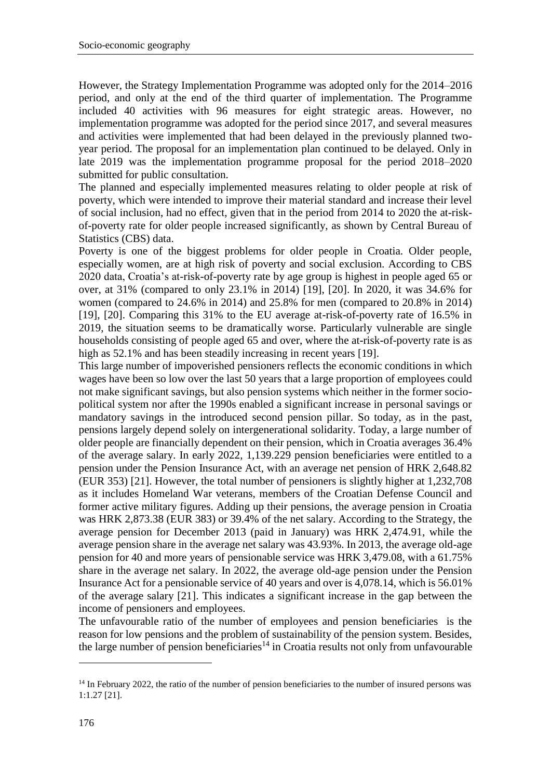However, the Strategy Implementation Programme was adopted only for the 2014–2016 period, and only at the end of the third quarter of implementation. The Programme included 40 activities with 96 measures for eight strategic areas. However, no implementation programme was adopted for the period since 2017, and several measures and activities were implemented that had been delayed in the previously planned twoyear period. The proposal for an implementation plan continued to be delayed. Only in late 2019 was the implementation programme proposal for the period 2018–2020 submitted for public consultation.

The planned and especially implemented measures relating to older people at risk of poverty, which were intended to improve their material standard and increase their level of social inclusion, had no effect, given that in the period from 2014 to 2020 the at-riskof-poverty rate for older people increased significantly, as shown by Central Bureau of Statistics (CBS) data.

Poverty is one of the biggest problems for older people in Croatia. Older people, especially women, are at high risk of poverty and social exclusion. According to CBS 2020 data, Croatia's at-risk-of-poverty rate by age group is highest in people aged 65 or over, at 31% (compared to only 23.1% in 2014) [19], [20]. In 2020, it was 34.6% for women (compared to 24.6% in 2014) and 25.8% for men (compared to 20.8% in 2014) [19], [20]. Comparing this 31% to the EU average at-risk-of-poverty rate of 16.5% in 2019, the situation seems to be dramatically worse. Particularly vulnerable are single households consisting of people aged 65 and over, where the at-risk-of-poverty rate is as high as 52.1% and has been steadily increasing in recent years [19].

This large number of impoverished pensioners reflects the economic conditions in which wages have been so low over the last 50 years that a large proportion of employees could not make significant savings, but also pension systems which neither in the former sociopolitical system nor after the 1990s enabled a significant increase in personal savings or mandatory savings in the introduced second pension pillar. So today, as in the past, pensions largely depend solely on intergenerational solidarity. Today, a large number of older people are financially dependent on their pension, which in Croatia averages 36.4% of the average salary. In early 2022, 1,139.229 pension beneficiaries were entitled to a pension under the Pension Insurance Act, with an average net pension of HRK 2,648.82 (EUR 353) [21]. However, the total number of pensioners is slightly higher at 1,232,708 as it includes Homeland War veterans, members of the Croatian Defense Council and former active military figures. Adding up their pensions, the average pension in Croatia was HRK 2,873.38 (EUR 383) or 39.4% of the net salary. According to the Strategy, the average pension for December 2013 (paid in January) was HRK 2,474.91, while the average pension share in the average net salary was 43.93%. In 2013, the average old-age pension for 40 and more years of pensionable service was HRK 3,479.08, with a 61.75% share in the average net salary. In 2022, the average old-age pension under the Pension Insurance Act for a pensionable service of 40 years and over is 4,078.14, which is 56.01% of the average salary [21]. This indicates a significant increase in the gap between the income of pensioners and employees.

The unfavourable ratio of the number of employees and pension beneficiaries is the reason for low pensions and the problem of sustainability of the pension system. Besides, the large number of pension beneficiaries<sup>14</sup> in Croatia results not only from unfavourable

-

<sup>&</sup>lt;sup>14</sup> In February 2022, the ratio of the number of pension beneficiaries to the number of insured persons was 1:1.27 [21].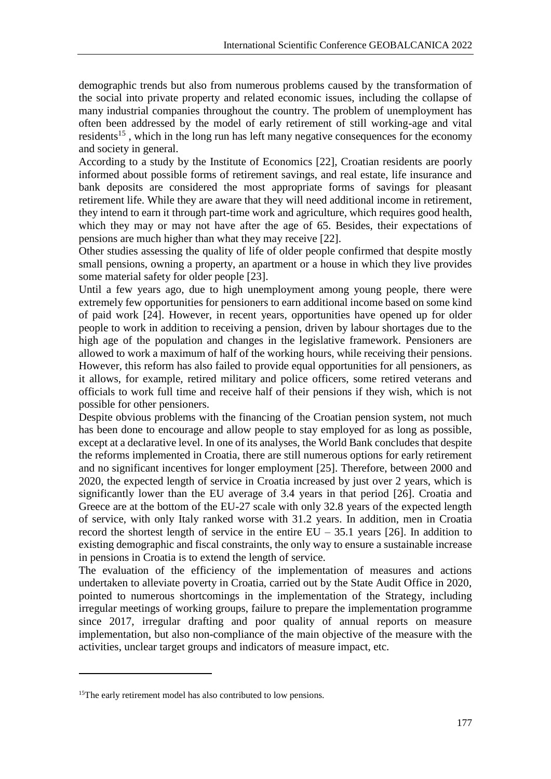demographic trends but also from numerous problems caused by the transformation of the social into private property and related economic issues, including the collapse of many industrial companies throughout the country. The problem of unemployment has often been addressed by the model of early retirement of still working-age and vital residents<sup>15</sup>, which in the long run has left many negative consequences for the economy and society in general.

According to a study by the Institute of Economics [22], Croatian residents are poorly informed about possible forms of retirement savings, and real estate, life insurance and bank deposits are considered the most appropriate forms of savings for pleasant retirement life. While they are aware that they will need additional income in retirement, they intend to earn it through part-time work and agriculture, which requires good health, which they may or may not have after the age of 65. Besides, their expectations of pensions are much higher than what they may receive [22].

Other studies assessing the quality of life of older people confirmed that despite mostly small pensions, owning a property, an apartment or a house in which they live provides some material safety for older people [23].

Until a few years ago, due to high unemployment among young people, there were extremely few opportunities for pensioners to earn additional income based on some kind of paid work [24]. However, in recent years, opportunities have opened up for older people to work in addition to receiving a pension, driven by labour shortages due to the high age of the population and changes in the legislative framework. Pensioners are allowed to work a maximum of half of the working hours, while receiving their pensions. However, this reform has also failed to provide equal opportunities for all pensioners, as it allows, for example, retired military and police officers, some retired veterans and officials to work full time and receive half of their pensions if they wish, which is not possible for other pensioners.

Despite obvious problems with the financing of the Croatian pension system, not much has been done to encourage and allow people to stay employed for as long as possible, except at a declarative level. In one of its analyses, the World Bank concludes that despite the reforms implemented in Croatia, there are still numerous options for early retirement and no significant incentives for longer employment [25]. Therefore, between 2000 and 2020, the expected length of service in Croatia increased by just over 2 years, which is significantly lower than the EU average of 3.4 years in that period [26]. Croatia and Greece are at the bottom of the EU-27 scale with only 32.8 years of the expected length of service, with only Italy ranked worse with 31.2 years. In addition, men in Croatia record the shortest length of service in the entire  $EU - 35.1$  years [26]. In addition to existing demographic and fiscal constraints, the only way to ensure a sustainable increase in pensions in Croatia is to extend the length of service.

The evaluation of the efficiency of the implementation of measures and actions undertaken to alleviate poverty in Croatia, carried out by the State Audit Office in 2020, pointed to numerous shortcomings in the implementation of the Strategy, including irregular meetings of working groups, failure to prepare the implementation programme since 2017, irregular drafting and poor quality of annual reports on measure implementation, but also non-compliance of the main objective of the measure with the activities, unclear target groups and indicators of measure impact, etc.

1

<sup>&</sup>lt;sup>15</sup>The early retirement model has also contributed to low pensions.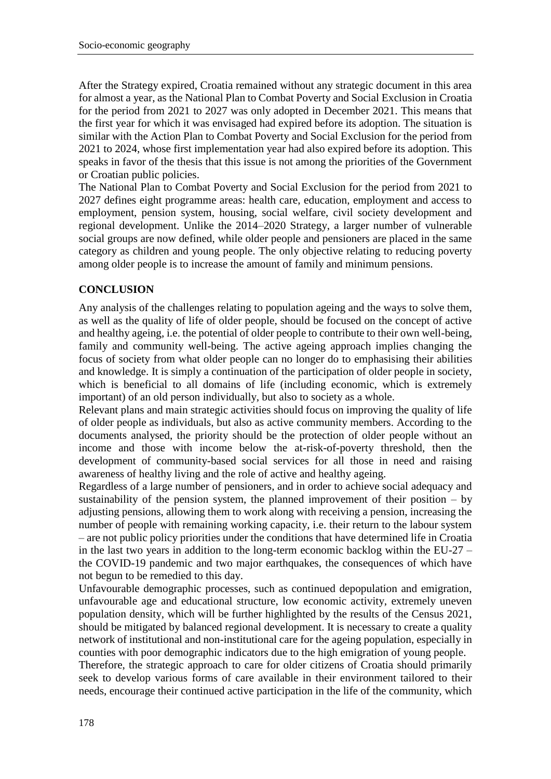After the Strategy expired, Croatia remained without any strategic document in this area for almost a year, as the National Plan to Combat Poverty and Social Exclusion in Croatia for the period from 2021 to 2027 was only adopted in December 2021. This means that the first year for which it was envisaged had expired before its adoption. The situation is similar with the Action Plan to Combat Poverty and Social Exclusion for the period from 2021 to 2024, whose first implementation year had also expired before its adoption. This speaks in favor of the thesis that this issue is not among the priorities of the Government or Croatian public policies.

The National Plan to Combat Poverty and Social Exclusion for the period from 2021 to 2027 defines eight programme areas: health care, education, employment and access to employment, pension system, housing, social welfare, civil society development and regional development. Unlike the 2014–2020 Strategy, a larger number of vulnerable social groups are now defined, while older people and pensioners are placed in the same category as children and young people. The only objective relating to reducing poverty among older people is to increase the amount of family and minimum pensions.

## **CONCLUSION**

Any analysis of the challenges relating to population ageing and the ways to solve them, as well as the quality of life of older people, should be focused on the concept of active and healthy ageing, i.e. the potential of older people to contribute to their own well-being, family and community well-being. The active ageing approach implies changing the focus of society from what older people can no longer do to emphasising their abilities and knowledge. It is simply a continuation of the participation of older people in society, which is beneficial to all domains of life (including economic, which is extremely important) of an old person individually, but also to society as a whole.

Relevant plans and main strategic activities should focus on improving the quality of life of older people as individuals, but also as active community members. According to the documents analysed, the priority should be the protection of older people without an income and those with income below the at-risk-of-poverty threshold, then the development of community-based social services for all those in need and raising awareness of healthy living and the role of active and healthy ageing.

Regardless of a large number of pensioners, and in order to achieve social adequacy and sustainability of the pension system, the planned improvement of their position  $-$  by adjusting pensions, allowing them to work along with receiving a pension, increasing the number of people with remaining working capacity, i.e. their return to the labour system – are not public policy priorities under the conditions that have determined life in Croatia in the last two years in addition to the long-term economic backlog within the EU-27  $$ the COVID-19 pandemic and two major earthquakes, the consequences of which have not begun to be remedied to this day.

Unfavourable demographic processes, such as continued depopulation and emigration, unfavourable age and educational structure, low economic activity, extremely uneven population density, which will be further highlighted by the results of the Census 2021, should be mitigated by balanced regional development. It is necessary to create a quality network of institutional and non-institutional care for the ageing population, especially in counties with poor demographic indicators due to the high emigration of young people.

Therefore, the strategic approach to care for older citizens of Croatia should primarily seek to develop various forms of care available in their environment tailored to their needs, encourage their continued active participation in the life of the community, which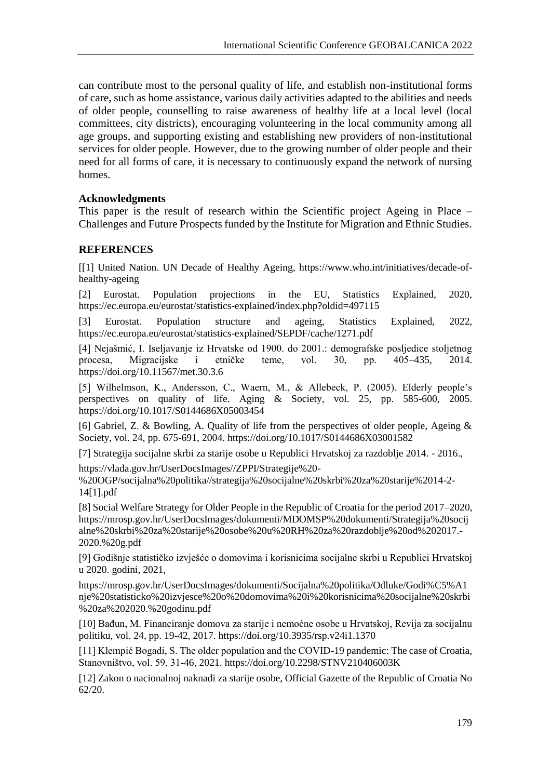can contribute most to the personal quality of life, and establish non-institutional forms of care, such as home assistance, various daily activities adapted to the abilities and needs of older people, counselling to raise awareness of healthy life at a local level (local committees, city districts), encouraging volunteering in the local community among all age groups, and supporting existing and establishing new providers of non-institutional services for older people. However, due to the growing number of older people and their need for all forms of care, it is necessary to continuously expand the network of nursing homes.

#### **Acknowledgments**

This paper is the result of research within the Scientific project Ageing in Place – Challenges and Future Prospects funded by the Institute for Migration and Ethnic Studies.

### **REFERENCES**

[[1] United Nation. UN Decade of Healthy Ageing, https://www.who.int/initiatives/decade-ofhealthy-ageing

[2] Eurostat. Population projections in the EU, Statistics Explained, 2020, https://ec.europa.eu/eurostat/statistics-explained/index.php?oldid=497115

[3] Eurostat. Population structure and ageing, Statistics Explained, 2022, https://ec.europa.eu/eurostat/statistics-explained/SEPDF/cache/1271.pdf

[4] Nejašmić, I. Iseljavanje iz Hrvatske od 1900. do 2001.: demografske posljedice stoljetnog procesa, Migracijske i etničke teme, vol. 30, pp. 405–435, 2014. https://doi.org/10.11567/met.30.3.6

[5] Wilhelmson, K., Andersson, C., Waern, M., & Allebeck, P. (2005). Elderly people's perspectives on quality of life. Aging & Society, vol. 25, pp. 585-600, 2005. https://doi.org/10.1017/S0144686X05003454

[6] Gabriel, Z. & Bowling, A. Quality of life from the perspectives of older people, Ageing & Society, vol. 24, pp. 675-691, 2004. https://doi.org/10.1017/S0144686X03001582

[7] Strategija socijalne skrbi za starije osobe u Republici Hrvatskoj za razdoblje 2014. - 2016.,

https://vlada.gov.hr/UserDocsImages//ZPPI/Strategije%20-

%20OGP/socijalna%20politika//strategija%20socijalne%20skrbi%20za%20starije%2014-2- 14[1].pdf

[8] Social Welfare Strategy for Older People in the Republic of Croatia for the period 2017–2020, https://mrosp.gov.hr/UserDocsImages/dokumenti/MDOMSP%20dokumenti/Strategija%20socij alne%20skrbi%20za%20starije%20osobe%20u%20RH%20za%20razdoblje%20od%202017.- 2020.%20g.pdf

[9] Godišnje statističko izvješće o domovima i korisnicima socijalne skrbi u Republici Hrvatskoj u 2020. godini, 2021,

https://mrosp.gov.hr/UserDocsImages/dokumenti/Socijalna%20politika/Odluke/Godi%C5%A1 nje%20statisticko%20izvjesce%20o%20domovima%20i%20korisnicima%20socijalne%20skrbi %20za%202020.%20godinu.pdf

[10] Bađun, M. Financiranje domova za starije i nemoćne osobe u Hrvatskoj, Revija za socijalnu politiku, vol. 24, pp. 19-42, 2017. https://doi.org/10.3935/rsp.v24i1.1370

[11] Klempić Bogadi, S. The older population and the COVID-19 pandemic: The case of Croatia, Stanovništvo, vol. 59, 31-46, 2021. https://doi.org/10.2298/STNV210406003K

[12] Zakon o nacionalnoj naknadi za starije osobe, Official Gazette of the Republic of Croatia No 62/20.